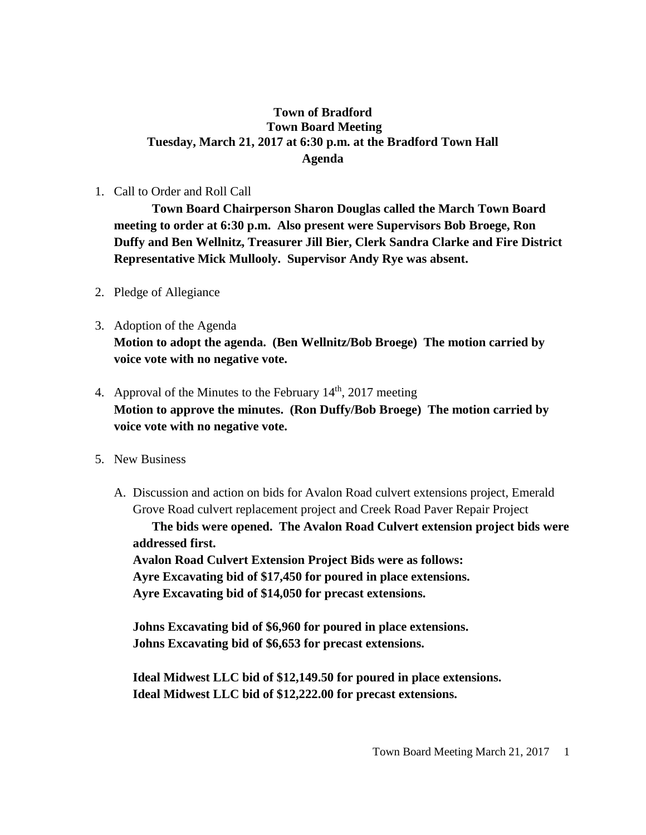#### **Town of Bradford Town Board Meeting Tuesday, March 21, 2017 at 6:30 p.m. at the Bradford Town Hall Agenda**

#### 1. Call to Order and Roll Call

**Town Board Chairperson Sharon Douglas called the March Town Board meeting to order at 6:30 p.m. Also present were Supervisors Bob Broege, Ron Duffy and Ben Wellnitz, Treasurer Jill Bier, Clerk Sandra Clarke and Fire District Representative Mick Mullooly. Supervisor Andy Rye was absent.**

- 2. Pledge of Allegiance
- 3. Adoption of the Agenda **Motion to adopt the agenda. (Ben Wellnitz/Bob Broege) The motion carried by voice vote with no negative vote.**
- 4. Approval of the Minutes to the February  $14<sup>th</sup>$ , 2017 meeting **Motion to approve the minutes. (Ron Duffy/Bob Broege) The motion carried by voice vote with no negative vote.**
- 5. New Business
	- A. Discussion and action on bids for Avalon Road culvert extensions project, Emerald Grove Road culvert replacement project and Creek Road Paver Repair Project **The bids were opened. The Avalon Road Culvert extension project bids were addressed first. Avalon Road Culvert Extension Project Bids were as follows: Ayre Excavating bid of \$17,450 for poured in place extensions. Ayre Excavating bid of \$14,050 for precast extensions.**

**Johns Excavating bid of \$6,960 for poured in place extensions. Johns Excavating bid of \$6,653 for precast extensions.**

**Ideal Midwest LLC bid of \$12,149.50 for poured in place extensions. Ideal Midwest LLC bid of \$12,222.00 for precast extensions.**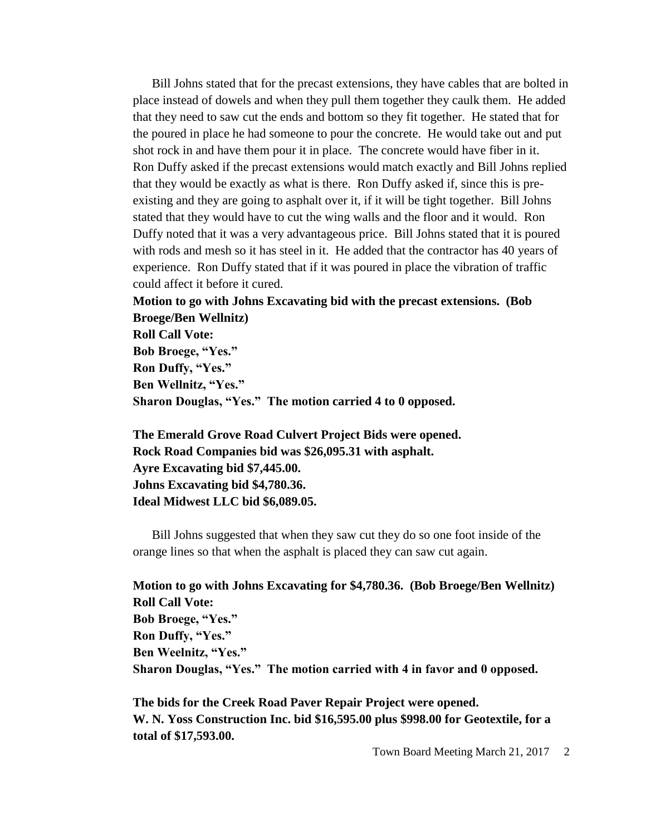Bill Johns stated that for the precast extensions, they have cables that are bolted in place instead of dowels and when they pull them together they caulk them. He added that they need to saw cut the ends and bottom so they fit together. He stated that for the poured in place he had someone to pour the concrete. He would take out and put shot rock in and have them pour it in place. The concrete would have fiber in it. Ron Duffy asked if the precast extensions would match exactly and Bill Johns replied that they would be exactly as what is there. Ron Duffy asked if, since this is preexisting and they are going to asphalt over it, if it will be tight together. Bill Johns stated that they would have to cut the wing walls and the floor and it would. Ron Duffy noted that it was a very advantageous price. Bill Johns stated that it is poured with rods and mesh so it has steel in it. He added that the contractor has 40 years of experience. Ron Duffy stated that if it was poured in place the vibration of traffic could affect it before it cured.

# **Motion to go with Johns Excavating bid with the precast extensions. (Bob Broege/Ben Wellnitz) Roll Call Vote: Bob Broege, "Yes." Ron Duffy, "Yes." Ben Wellnitz, "Yes."**

**Sharon Douglas, "Yes." The motion carried 4 to 0 opposed.**

**The Emerald Grove Road Culvert Project Bids were opened. Rock Road Companies bid was \$26,095.31 with asphalt. Ayre Excavating bid \$7,445.00. Johns Excavating bid \$4,780.36. Ideal Midwest LLC bid \$6,089.05.**

Bill Johns suggested that when they saw cut they do so one foot inside of the orange lines so that when the asphalt is placed they can saw cut again.

**Motion to go with Johns Excavating for \$4,780.36. (Bob Broege/Ben Wellnitz) Roll Call Vote: Bob Broege, "Yes." Ron Duffy, "Yes." Ben Weelnitz, "Yes." Sharon Douglas, "Yes." The motion carried with 4 in favor and 0 opposed.**

**The bids for the Creek Road Paver Repair Project were opened. W. N. Yoss Construction Inc. bid \$16,595.00 plus \$998.00 for Geotextile, for a total of \$17,593.00.**

Town Board Meeting March 21, 2017 2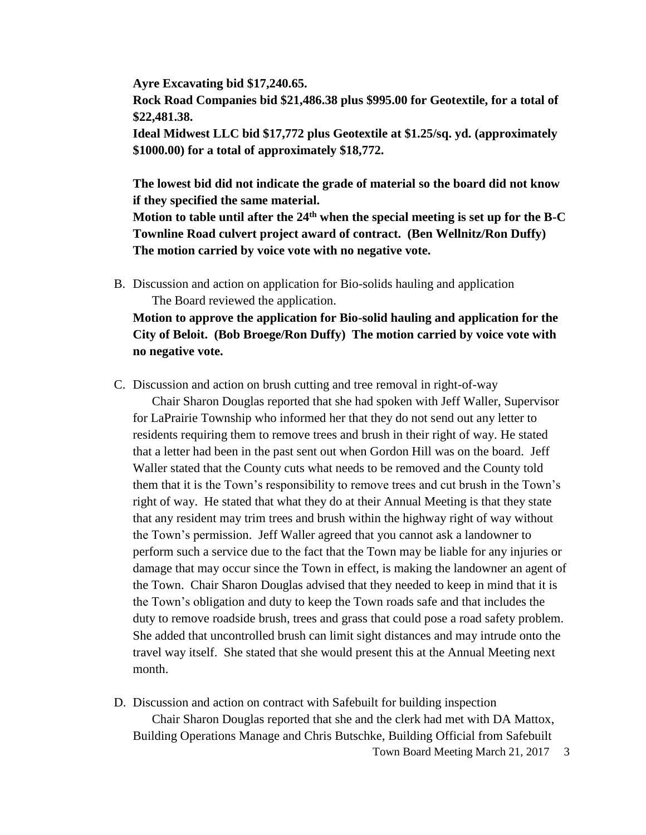**Ayre Excavating bid \$17,240.65. Rock Road Companies bid \$21,486.38 plus \$995.00 for Geotextile, for a total of \$22,481.38.**

**Ideal Midwest LLC bid \$17,772 plus Geotextile at \$1.25/sq. yd. (approximately \$1000.00) for a total of approximately \$18,772.**

**The lowest bid did not indicate the grade of material so the board did not know if they specified the same material.**

**Motion to table until after the 24th when the special meeting is set up for the B-C Townline Road culvert project award of contract. (Ben Wellnitz/Ron Duffy) The motion carried by voice vote with no negative vote.**

B. Discussion and action on application for Bio-solids hauling and application The Board reviewed the application.

**Motion to approve the application for Bio-solid hauling and application for the City of Beloit. (Bob Broege/Ron Duffy) The motion carried by voice vote with no negative vote.**

C. Discussion and action on brush cutting and tree removal in right-of-way

Chair Sharon Douglas reported that she had spoken with Jeff Waller, Supervisor for LaPrairie Township who informed her that they do not send out any letter to residents requiring them to remove trees and brush in their right of way. He stated that a letter had been in the past sent out when Gordon Hill was on the board. Jeff Waller stated that the County cuts what needs to be removed and the County told them that it is the Town's responsibility to remove trees and cut brush in the Town's right of way. He stated that what they do at their Annual Meeting is that they state that any resident may trim trees and brush within the highway right of way without the Town's permission. Jeff Waller agreed that you cannot ask a landowner to perform such a service due to the fact that the Town may be liable for any injuries or damage that may occur since the Town in effect, is making the landowner an agent of the Town. Chair Sharon Douglas advised that they needed to keep in mind that it is the Town's obligation and duty to keep the Town roads safe and that includes the duty to remove roadside brush, trees and grass that could pose a road safety problem. She added that uncontrolled brush can limit sight distances and may intrude onto the travel way itself. She stated that she would present this at the Annual Meeting next month.

Town Board Meeting March 21, 2017 3 D. Discussion and action on contract with Safebuilt for building inspection Chair Sharon Douglas reported that she and the clerk had met with DA Mattox, Building Operations Manage and Chris Butschke, Building Official from Safebuilt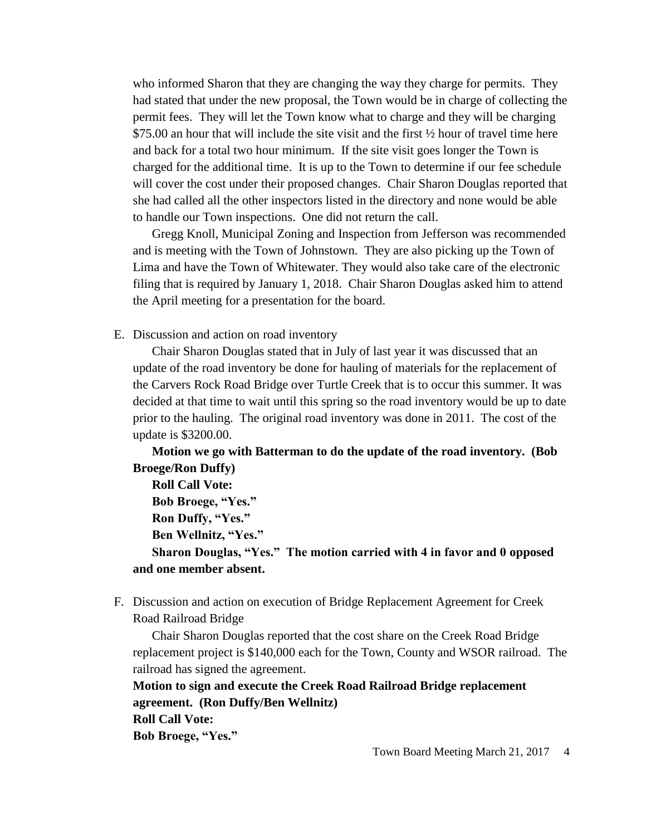who informed Sharon that they are changing the way they charge for permits. They had stated that under the new proposal, the Town would be in charge of collecting the permit fees. They will let the Town know what to charge and they will be charging \$75.00 an hour that will include the site visit and the first ½ hour of travel time here and back for a total two hour minimum. If the site visit goes longer the Town is charged for the additional time. It is up to the Town to determine if our fee schedule will cover the cost under their proposed changes. Chair Sharon Douglas reported that she had called all the other inspectors listed in the directory and none would be able to handle our Town inspections. One did not return the call.

Gregg Knoll, Municipal Zoning and Inspection from Jefferson was recommended and is meeting with the Town of Johnstown. They are also picking up the Town of Lima and have the Town of Whitewater. They would also take care of the electronic filing that is required by January 1, 2018. Chair Sharon Douglas asked him to attend the April meeting for a presentation for the board.

E. Discussion and action on road inventory

Chair Sharon Douglas stated that in July of last year it was discussed that an update of the road inventory be done for hauling of materials for the replacement of the Carvers Rock Road Bridge over Turtle Creek that is to occur this summer. It was decided at that time to wait until this spring so the road inventory would be up to date prior to the hauling. The original road inventory was done in 2011. The cost of the update is \$3200.00.

**Motion we go with Batterman to do the update of the road inventory. (Bob Broege/Ron Duffy)**

**Roll Call Vote: Bob Broege, "Yes." Ron Duffy, "Yes." Ben Wellnitz, "Yes." Sharon Douglas, "Yes." The motion carried with 4 in favor and 0 opposed and one member absent.**

F. Discussion and action on execution of Bridge Replacement Agreement for Creek Road Railroad Bridge

Chair Sharon Douglas reported that the cost share on the Creek Road Bridge replacement project is \$140,000 each for the Town, County and WSOR railroad. The railroad has signed the agreement.

**Motion to sign and execute the Creek Road Railroad Bridge replacement agreement. (Ron Duffy/Ben Wellnitz) Roll Call Vote: Bob Broege, "Yes."**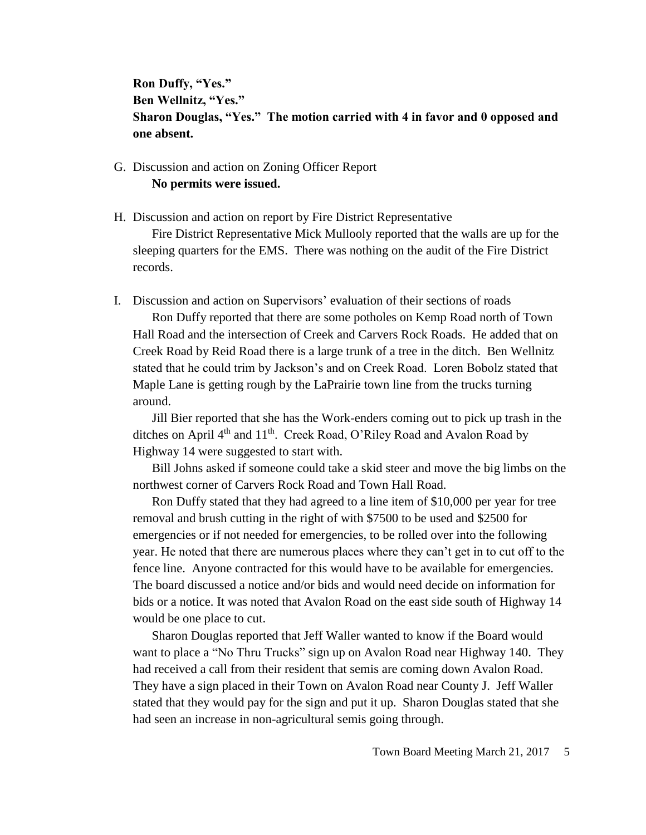**Ron Duffy, "Yes." Ben Wellnitz, "Yes." Sharon Douglas, "Yes." The motion carried with 4 in favor and 0 opposed and one absent.**

### G. Discussion and action on Zoning Officer Report **No permits were issued.**

H. Discussion and action on report by Fire District Representative

Fire District Representative Mick Mullooly reported that the walls are up for the sleeping quarters for the EMS. There was nothing on the audit of the Fire District records.

I. Discussion and action on Supervisors' evaluation of their sections of roads

Ron Duffy reported that there are some potholes on Kemp Road north of Town Hall Road and the intersection of Creek and Carvers Rock Roads. He added that on Creek Road by Reid Road there is a large trunk of a tree in the ditch. Ben Wellnitz stated that he could trim by Jackson's and on Creek Road. Loren Bobolz stated that Maple Lane is getting rough by the LaPrairie town line from the trucks turning around.

Jill Bier reported that she has the Work-enders coming out to pick up trash in the ditches on April 4<sup>th</sup> and 11<sup>th</sup>. Creek Road, O'Riley Road and Avalon Road by Highway 14 were suggested to start with.

Bill Johns asked if someone could take a skid steer and move the big limbs on the northwest corner of Carvers Rock Road and Town Hall Road.

Ron Duffy stated that they had agreed to a line item of \$10,000 per year for tree removal and brush cutting in the right of with \$7500 to be used and \$2500 for emergencies or if not needed for emergencies, to be rolled over into the following year. He noted that there are numerous places where they can't get in to cut off to the fence line. Anyone contracted for this would have to be available for emergencies. The board discussed a notice and/or bids and would need decide on information for bids or a notice. It was noted that Avalon Road on the east side south of Highway 14 would be one place to cut.

Sharon Douglas reported that Jeff Waller wanted to know if the Board would want to place a "No Thru Trucks" sign up on Avalon Road near Highway 140. They had received a call from their resident that semis are coming down Avalon Road. They have a sign placed in their Town on Avalon Road near County J. Jeff Waller stated that they would pay for the sign and put it up. Sharon Douglas stated that she had seen an increase in non-agricultural semis going through.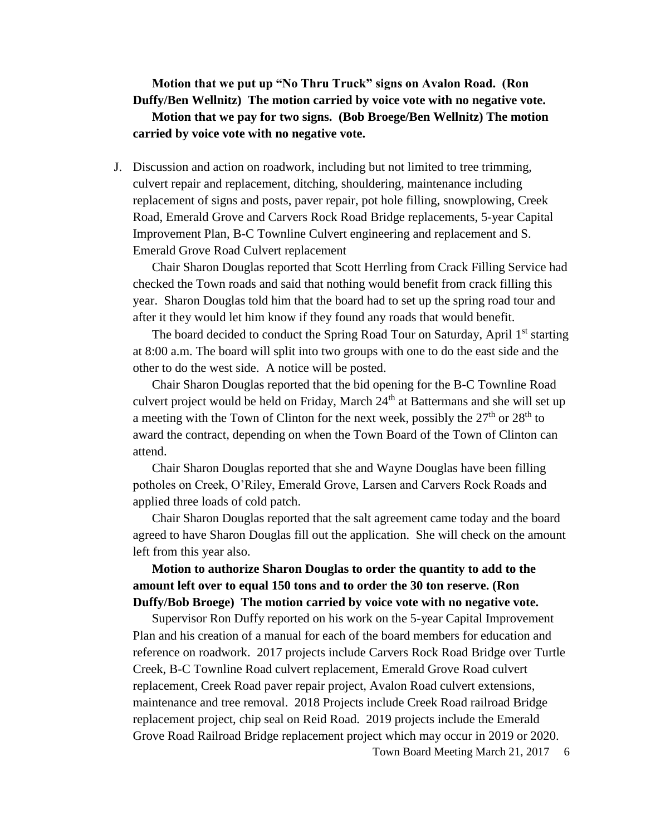# **Motion that we put up "No Thru Truck" signs on Avalon Road. (Ron Duffy/Ben Wellnitz) The motion carried by voice vote with no negative vote. Motion that we pay for two signs. (Bob Broege/Ben Wellnitz) The motion carried by voice vote with no negative vote.**

J. Discussion and action on roadwork, including but not limited to tree trimming, culvert repair and replacement, ditching, shouldering, maintenance including replacement of signs and posts, paver repair, pot hole filling, snowplowing, Creek Road, Emerald Grove and Carvers Rock Road Bridge replacements, 5-year Capital Improvement Plan, B-C Townline Culvert engineering and replacement and S. Emerald Grove Road Culvert replacement

Chair Sharon Douglas reported that Scott Herrling from Crack Filling Service had checked the Town roads and said that nothing would benefit from crack filling this year. Sharon Douglas told him that the board had to set up the spring road tour and after it they would let him know if they found any roads that would benefit.

The board decided to conduct the Spring Road Tour on Saturday, April  $1<sup>st</sup>$  starting at 8:00 a.m. The board will split into two groups with one to do the east side and the other to do the west side. A notice will be posted.

Chair Sharon Douglas reported that the bid opening for the B-C Townline Road culvert project would be held on Friday, March 24<sup>th</sup> at Battermans and she will set up a meeting with the Town of Clinton for the next week, possibly the  $27<sup>th</sup>$  or  $28<sup>th</sup>$  to award the contract, depending on when the Town Board of the Town of Clinton can attend.

Chair Sharon Douglas reported that she and Wayne Douglas have been filling potholes on Creek, O'Riley, Emerald Grove, Larsen and Carvers Rock Roads and applied three loads of cold patch.

Chair Sharon Douglas reported that the salt agreement came today and the board agreed to have Sharon Douglas fill out the application. She will check on the amount left from this year also.

### **Motion to authorize Sharon Douglas to order the quantity to add to the amount left over to equal 150 tons and to order the 30 ton reserve. (Ron Duffy/Bob Broege) The motion carried by voice vote with no negative vote.**

Supervisor Ron Duffy reported on his work on the 5-year Capital Improvement Plan and his creation of a manual for each of the board members for education and reference on roadwork. 2017 projects include Carvers Rock Road Bridge over Turtle Creek, B-C Townline Road culvert replacement, Emerald Grove Road culvert replacement, Creek Road paver repair project, Avalon Road culvert extensions, maintenance and tree removal. 2018 Projects include Creek Road railroad Bridge replacement project, chip seal on Reid Road. 2019 projects include the Emerald Grove Road Railroad Bridge replacement project which may occur in 2019 or 2020.

Town Board Meeting March 21, 2017 6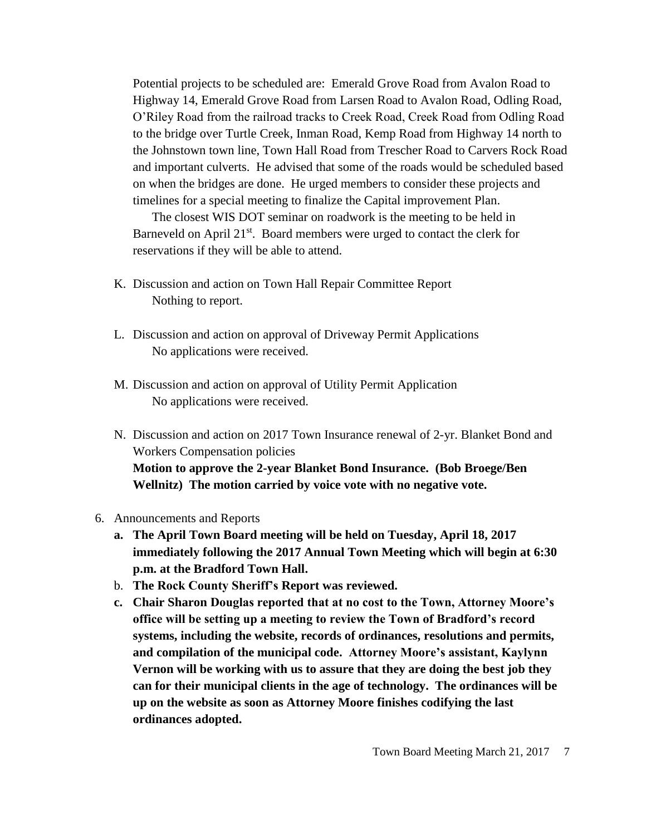Potential projects to be scheduled are: Emerald Grove Road from Avalon Road to Highway 14, Emerald Grove Road from Larsen Road to Avalon Road, Odling Road, O'Riley Road from the railroad tracks to Creek Road, Creek Road from Odling Road to the bridge over Turtle Creek, Inman Road, Kemp Road from Highway 14 north to the Johnstown town line, Town Hall Road from Trescher Road to Carvers Rock Road and important culverts. He advised that some of the roads would be scheduled based on when the bridges are done. He urged members to consider these projects and timelines for a special meeting to finalize the Capital improvement Plan.

The closest WIS DOT seminar on roadwork is the meeting to be held in Barneveld on April  $21^{st}$ . Board members were urged to contact the clerk for reservations if they will be able to attend.

- K. Discussion and action on Town Hall Repair Committee Report Nothing to report.
- L. Discussion and action on approval of Driveway Permit Applications No applications were received.
- M. Discussion and action on approval of Utility Permit Application No applications were received.
- N. Discussion and action on 2017 Town Insurance renewal of 2-yr. Blanket Bond and Workers Compensation policies **Motion to approve the 2-year Blanket Bond Insurance. (Bob Broege/Ben Wellnitz) The motion carried by voice vote with no negative vote.**
- 6. Announcements and Reports
	- **a. The April Town Board meeting will be held on Tuesday, April 18, 2017 immediately following the 2017 Annual Town Meeting which will begin at 6:30 p.m. at the Bradford Town Hall.**
	- b. **The Rock County Sheriff's Report was reviewed.**
	- **c. Chair Sharon Douglas reported that at no cost to the Town, Attorney Moore's office will be setting up a meeting to review the Town of Bradford's record systems, including the website, records of ordinances, resolutions and permits, and compilation of the municipal code. Attorney Moore's assistant, Kaylynn Vernon will be working with us to assure that they are doing the best job they can for their municipal clients in the age of technology. The ordinances will be up on the website as soon as Attorney Moore finishes codifying the last ordinances adopted.**